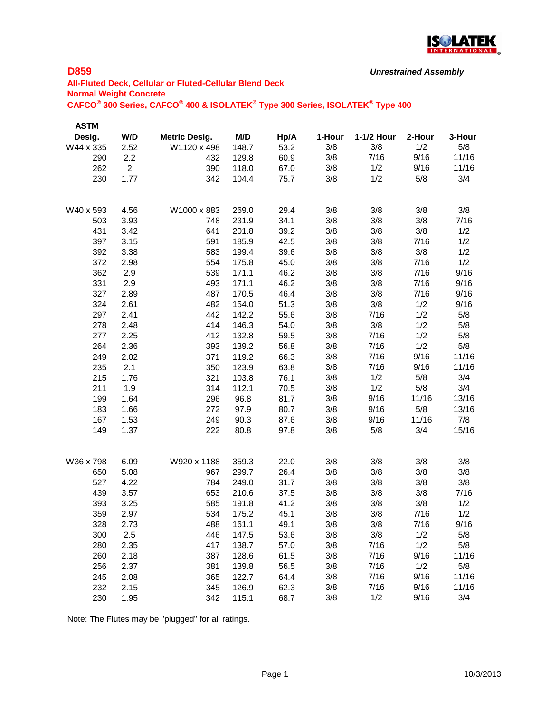

```
Unrestrained Assembly
```
# **All-Fluted Deck, Cellular or Fluted-Cellular Blend Deck Normal Weight Concrete CAFCO® 300 Series, CAFCO® 400 & ISOLATEK® Type 300 Series, ISOLATEK® Type 400**

| ASTM      |                |                      |       |      |        |            |        |        |
|-----------|----------------|----------------------|-------|------|--------|------------|--------|--------|
| Desig.    | W/D            | <b>Metric Desig.</b> | M/D   | Hp/A | 1-Hour | 1-1/2 Hour | 2-Hour | 3-Hour |
| W44 x 335 | 2.52           | W1120 x 498          | 148.7 | 53.2 | 3/8    | 3/8        | 1/2    | 5/8    |
| 290       | 2.2            | 432                  | 129.8 | 60.9 | 3/8    | 7/16       | 9/16   | 11/16  |
| 262       | $\overline{2}$ | 390                  | 118.0 | 67.0 | 3/8    | 1/2        | 9/16   | 11/16  |
| 230       | 1.77           | 342                  | 104.4 | 75.7 | 3/8    | 1/2        | 5/8    | 3/4    |
|           |                |                      |       |      |        |            |        |        |
| W40 x 593 | 4.56           | W1000 x 883          | 269.0 | 29.4 | 3/8    | 3/8        | 3/8    | 3/8    |
| 503       | 3.93           | 748                  | 231.9 | 34.1 | 3/8    | 3/8        | 3/8    | 7/16   |
| 431       | 3.42           | 641                  | 201.8 | 39.2 | 3/8    | 3/8        | 3/8    | 1/2    |
| 397       | 3.15           | 591                  | 185.9 | 42.5 | 3/8    | 3/8        | 7/16   | 1/2    |
| 392       | 3.38           | 583                  | 199.4 | 39.6 | 3/8    | 3/8        | 3/8    | 1/2    |
| 372       | 2.98           | 554                  | 175.8 | 45.0 | 3/8    | 3/8        | 7/16   | 1/2    |
| 362       | 2.9            | 539                  | 171.1 | 46.2 | 3/8    | 3/8        | 7/16   | 9/16   |
| 331       | 2.9            | 493                  | 171.1 | 46.2 | 3/8    | 3/8        | 7/16   | 9/16   |
| 327       | 2.89           | 487                  | 170.5 | 46.4 | 3/8    | 3/8        | 7/16   | 9/16   |
| 324       | 2.61           | 482                  | 154.0 | 51.3 | 3/8    | 3/8        | 1/2    | 9/16   |
| 297       | 2.41           | 442                  | 142.2 | 55.6 | 3/8    | 7/16       | 1/2    | 5/8    |
| 278       | 2.48           | 414                  | 146.3 | 54.0 | 3/8    | 3/8        | 1/2    | 5/8    |
| 277       | 2.25           | 412                  | 132.8 | 59.5 | 3/8    | 7/16       | 1/2    | 5/8    |
| 264       | 2.36           | 393                  | 139.2 | 56.8 | 3/8    | 7/16       | 1/2    | 5/8    |
| 249       | 2.02           | 371                  | 119.2 | 66.3 | 3/8    | 7/16       | 9/16   | 11/16  |
| 235       | 2.1            | 350                  | 123.9 | 63.8 | 3/8    | 7/16       | 9/16   | 11/16  |
| 215       | 1.76           | 321                  | 103.8 | 76.1 | 3/8    | 1/2        | 5/8    | 3/4    |
| 211       | 1.9            | 314                  | 112.1 | 70.5 | 3/8    | 1/2        | 5/8    | 3/4    |
| 199       | 1.64           | 296                  | 96.8  | 81.7 | 3/8    | 9/16       | 11/16  | 13/16  |
| 183       | 1.66           | 272                  | 97.9  | 80.7 | 3/8    | 9/16       | 5/8    | 13/16  |
| 167       | 1.53           | 249                  | 90.3  | 87.6 | 3/8    | 9/16       | 11/16  | 7/8    |
| 149       | 1.37           | 222                  | 80.8  | 97.8 | 3/8    | 5/8        | 3/4    | 15/16  |
| W36 x 798 | 6.09           | W920 x 1188          | 359.3 | 22.0 | 3/8    | 3/8        | 3/8    | 3/8    |
| 650       | 5.08           | 967                  | 299.7 | 26.4 | 3/8    | 3/8        | 3/8    | 3/8    |
| 527       | 4.22           | 784                  | 249.0 | 31.7 | 3/8    | 3/8        | 3/8    | 3/8    |
| 439       | 3.57           | 653                  | 210.6 | 37.5 | 3/8    | 3/8        | 3/8    | 7/16   |
| 393       | 3.25           | 585                  | 191.8 | 41.2 | 3/8    | 3/8        | $3/8$  | 1/2    |
| 359       | 2.97           | 534                  | 175.2 | 45.1 | 3/8    | 3/8        | 7/16   | 1/2    |
| 328       | 2.73           | 488                  | 161.1 | 49.1 | 3/8    | 3/8        | 7/16   | 9/16   |
| 300       | 2.5            | 446                  | 147.5 | 53.6 | 3/8    | 3/8        | 1/2    | 5/8    |
| 280       | 2.35           | 417                  | 138.7 | 57.0 | 3/8    | 7/16       | 1/2    | 5/8    |
| 260       | 2.18           | 387                  | 128.6 | 61.5 | 3/8    | 7/16       | 9/16   | 11/16  |
| 256       | 2.37           | 381                  | 139.8 | 56.5 | 3/8    | 7/16       | 1/2    | 5/8    |
| 245       | 2.08           | 365                  | 122.7 | 64.4 | 3/8    | 7/16       | 9/16   | 11/16  |
| 232       | 2.15           | 345                  | 126.9 | 62.3 | 3/8    | 7/16       | 9/16   | 11/16  |
| 230       | 1.95           | 342                  | 115.1 | 68.7 | 3/8    | 1/2        | 9/16   | 3/4    |
|           |                |                      |       |      |        |            |        |        |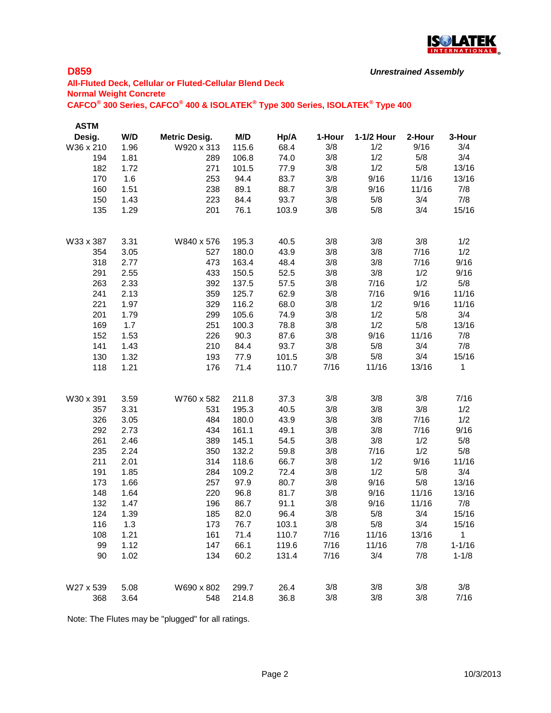

```
Unrestrained Assembly
```
# **All-Fluted Deck, Cellular or Fluted-Cellular Blend Deck Normal Weight Concrete CAFCO® 300 Series, CAFCO® 400 & ISOLATEK® Type 300 Series, ISOLATEK® Type 400**

| <b>ASTM</b> |      |                      |       |       |        |            |        |              |
|-------------|------|----------------------|-------|-------|--------|------------|--------|--------------|
| Desig.      | W/D  | <b>Metric Desig.</b> | M/D   | Hp/A  | 1-Hour | 1-1/2 Hour | 2-Hour | 3-Hour       |
| W36 x 210   | 1.96 | W920 x 313           | 115.6 | 68.4  | 3/8    | 1/2        | 9/16   | 3/4          |
| 194         | 1.81 | 289                  | 106.8 | 74.0  | 3/8    | 1/2        | 5/8    | 3/4          |
| 182         | 1.72 | 271                  | 101.5 | 77.9  | 3/8    | 1/2        | 5/8    | 13/16        |
| 170         | 1.6  | 253                  | 94.4  | 83.7  | 3/8    | 9/16       | 11/16  | 13/16        |
| 160         | 1.51 | 238                  | 89.1  | 88.7  | 3/8    | 9/16       | 11/16  | 7/8          |
| 150         | 1.43 | 223                  | 84.4  | 93.7  | 3/8    | 5/8        | 3/4    | 7/8          |
| 135         | 1.29 | 201                  | 76.1  | 103.9 | 3/8    | 5/8        | 3/4    | 15/16        |
| W33 x 387   | 3.31 | W840 x 576           | 195.3 | 40.5  | 3/8    | 3/8        | 3/8    | 1/2          |
| 354         | 3.05 | 527                  | 180.0 | 43.9  | 3/8    | 3/8        | 7/16   | 1/2          |
| 318         | 2.77 | 473                  | 163.4 | 48.4  | 3/8    | 3/8        | 7/16   | 9/16         |
| 291         | 2.55 | 433                  | 150.5 | 52.5  | 3/8    | 3/8        | 1/2    | 9/16         |
| 263         | 2.33 | 392                  | 137.5 | 57.5  | 3/8    | 7/16       | 1/2    | 5/8          |
| 241         | 2.13 | 359                  | 125.7 | 62.9  | 3/8    | 7/16       | 9/16   | 11/16        |
| 221         | 1.97 | 329                  | 116.2 | 68.0  | 3/8    | 1/2        | 9/16   | 11/16        |
| 201         | 1.79 | 299                  | 105.6 | 74.9  | 3/8    | 1/2        | 5/8    | 3/4          |
| 169         | 1.7  | 251                  | 100.3 | 78.8  | 3/8    | 1/2        | 5/8    | 13/16        |
| 152         | 1.53 | 226                  | 90.3  | 87.6  | 3/8    | 9/16       | 11/16  | 7/8          |
| 141         | 1.43 | 210                  | 84.4  | 93.7  | 3/8    | 5/8        | 3/4    | 7/8          |
| 130         | 1.32 | 193                  | 77.9  | 101.5 | 3/8    | 5/8        | 3/4    | 15/16        |
| 118         | 1.21 | 176                  | 71.4  | 110.7 | 7/16   | 11/16      | 13/16  | 1            |
| W30 x 391   | 3.59 | W760 x 582           | 211.8 | 37.3  | 3/8    | 3/8        | 3/8    | 7/16         |
| 357         | 3.31 | 531                  | 195.3 | 40.5  | 3/8    | 3/8        | 3/8    | 1/2          |
| 326         | 3.05 | 484                  | 180.0 | 43.9  | 3/8    | 3/8        | 7/16   | 1/2          |
| 292         | 2.73 | 434                  | 161.1 | 49.1  | 3/8    | 3/8        | 7/16   | 9/16         |
| 261         | 2.46 | 389                  | 145.1 | 54.5  | 3/8    | 3/8        | 1/2    | 5/8          |
| 235         | 2.24 | 350                  | 132.2 | 59.8  | 3/8    | 7/16       | 1/2    | 5/8          |
| 211         | 2.01 | 314                  | 118.6 | 66.7  | 3/8    | 1/2        | 9/16   | 11/16        |
| 191         | 1.85 | 284                  | 109.2 | 72.4  | 3/8    | 1/2        | 5/8    | 3/4          |
| 173         | 1.66 | 257                  | 97.9  | 80.7  | 3/8    | 9/16       | 5/8    | 13/16        |
| 148         | 1.64 | 220                  | 96.8  | 81.7  | 3/8    | 9/16       | 11/16  | 13/16        |
| 132         | 1.47 | 196                  | 86.7  | 91.1  | 3/8    | 9/16       | 11/16  | 7/8          |
| 124         | 1.39 | 185                  | 82.0  | 96.4  | 3/8    | 5/8        | 3/4    | 15/16        |
| 116         | 1.3  | 173                  | 76.7  | 103.1 | 3/8    | 5/8        | 3/4    | 15/16        |
| 108         | 1.21 | 161                  | 71.4  | 110.7 | 7/16   | 11/16      | 13/16  | $\mathbf{1}$ |
| 99          | 1.12 | 147                  | 66.1  | 119.6 | 7/16   | 11/16      | 7/8    | $1 - 1/16$   |
| 90          | 1.02 | 134                  | 60.2  | 131.4 | 7/16   | 3/4        | 7/8    | $1 - 1/8$    |
| W27 x 539   | 5.08 | W690 x 802           | 299.7 | 26.4  | 3/8    | 3/8        | 3/8    | 3/8          |
| 368         | 3.64 | 548                  | 214.8 | 36.8  | 3/8    | 3/8        | 3/8    | 7/16         |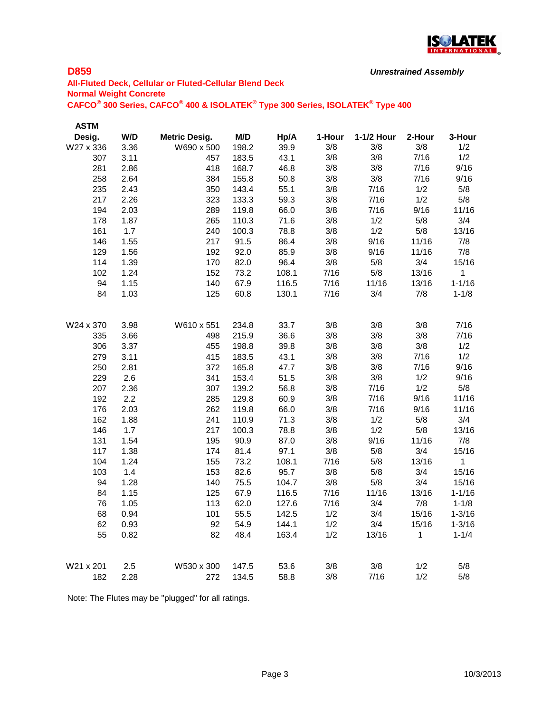

```
Unrestrained Assembly
```
# **All-Fluted Deck, Cellular or Fluted-Cellular Blend Deck Normal Weight Concrete CAFCO® 300 Series, CAFCO® 400 & ISOLATEK® Type 300 Series, ISOLATEK® Type 400**

| <b>ASTM</b> |      |                      |       |       |        |            |        |            |
|-------------|------|----------------------|-------|-------|--------|------------|--------|------------|
| Desig.      | W/D  | <b>Metric Desig.</b> | M/D   | Hp/A  | 1-Hour | 1-1/2 Hour | 2-Hour | 3-Hour     |
| W27 x 336   | 3.36 | W690 x 500           | 198.2 | 39.9  | 3/8    | 3/8        | 3/8    | 1/2        |
| 307         | 3.11 | 457                  | 183.5 | 43.1  | 3/8    | 3/8        | 7/16   | 1/2        |
| 281         | 2.86 | 418                  | 168.7 | 46.8  | 3/8    | 3/8        | 7/16   | 9/16       |
| 258         | 2.64 | 384                  | 155.8 | 50.8  | 3/8    | 3/8        | 7/16   | 9/16       |
| 235         | 2.43 | 350                  | 143.4 | 55.1  | 3/8    | 7/16       | 1/2    | 5/8        |
| 217         | 2.26 | 323                  | 133.3 | 59.3  | 3/8    | 7/16       | 1/2    | 5/8        |
| 194         | 2.03 | 289                  | 119.8 | 66.0  | 3/8    | 7/16       | 9/16   | 11/16      |
| 178         | 1.87 | 265                  | 110.3 | 71.6  | 3/8    | 1/2        | 5/8    | 3/4        |
| 161         | 1.7  | 240                  | 100.3 | 78.8  | 3/8    | 1/2        | 5/8    | 13/16      |
| 146         | 1.55 | 217                  | 91.5  | 86.4  | 3/8    | 9/16       | 11/16  | 7/8        |
| 129         | 1.56 | 192                  | 92.0  | 85.9  | 3/8    | 9/16       | 11/16  | 7/8        |
| 114         | 1.39 | 170                  | 82.0  | 96.4  | 3/8    | 5/8        | 3/4    | 15/16      |
| 102         | 1.24 | 152                  | 73.2  | 108.1 | 7/16   | 5/8        | 13/16  | 1          |
| 94          | 1.15 | 140                  | 67.9  | 116.5 | 7/16   | 11/16      | 13/16  | $1 - 1/16$ |
| 84          | 1.03 | 125                  | 60.8  | 130.1 | 7/16   | 3/4        | 7/8    | $1 - 1/8$  |
| W24 x 370   | 3.98 | W610 x 551           | 234.8 | 33.7  | 3/8    | 3/8        | 3/8    | 7/16       |
| 335         | 3.66 | 498                  | 215.9 | 36.6  | 3/8    | 3/8        | 3/8    | 7/16       |
| 306         | 3.37 | 455                  | 198.8 | 39.8  | 3/8    | 3/8        | 3/8    | 1/2        |
| 279         | 3.11 | 415                  | 183.5 | 43.1  | 3/8    | 3/8        | 7/16   | 1/2        |
| 250         | 2.81 | 372                  | 165.8 | 47.7  | 3/8    | 3/8        | 7/16   | 9/16       |
| 229         | 2.6  | 341                  | 153.4 | 51.5  | 3/8    | 3/8        | 1/2    | 9/16       |
| 207         | 2.36 | 307                  | 139.2 | 56.8  | 3/8    | 7/16       | 1/2    | 5/8        |
| 192         | 2.2  | 285                  | 129.8 | 60.9  | 3/8    | 7/16       | 9/16   | 11/16      |
| 176         | 2.03 | 262                  | 119.8 | 66.0  | 3/8    | 7/16       | 9/16   | 11/16      |
| 162         | 1.88 | 241                  | 110.9 | 71.3  | 3/8    | 1/2        | 5/8    | 3/4        |
| 146         | 1.7  | 217                  | 100.3 | 78.8  | 3/8    | 1/2        | 5/8    | 13/16      |
| 131         | 1.54 | 195                  | 90.9  | 87.0  | 3/8    | 9/16       | 11/16  | 7/8        |
| 117         | 1.38 | 174                  | 81.4  | 97.1  | 3/8    | 5/8        | 3/4    | 15/16      |
| 104         | 1.24 | 155                  | 73.2  | 108.1 | 7/16   | 5/8        | 13/16  | 1          |
| 103         | 1.4  | 153                  | 82.6  | 95.7  | 3/8    | 5/8        | 3/4    | 15/16      |
| 94          | 1.28 | 140                  | 75.5  | 104.7 | 3/8    | 5/8        | 3/4    | 15/16      |
| 84          | 1.15 | 125                  | 67.9  | 116.5 | 7/16   | 11/16      | 13/16  | $1 - 1/16$ |
| 76          | 1.05 | 113                  | 62.0  | 127.6 | 7/16   | 3/4        | 7/8    | $1 - 1/8$  |
| 68          | 0.94 | 101                  | 55.5  | 142.5 | 1/2    | 3/4        | 15/16  | $1 - 3/16$ |
| 62          | 0.93 | 92                   | 54.9  | 144.1 | 1/2    | 3/4        | 15/16  | $1 - 3/16$ |
| 55          | 0.82 | 82                   | 48.4  | 163.4 | 1/2    | 13/16      | 1      | $1 - 1/4$  |
| W21 x 201   | 2.5  | W530 x 300           | 147.5 | 53.6  | 3/8    | 3/8        | 1/2    | 5/8        |
| 182         | 2.28 | 272                  | 134.5 | 58.8  | 3/8    | 7/16       | 1/2    | 5/8        |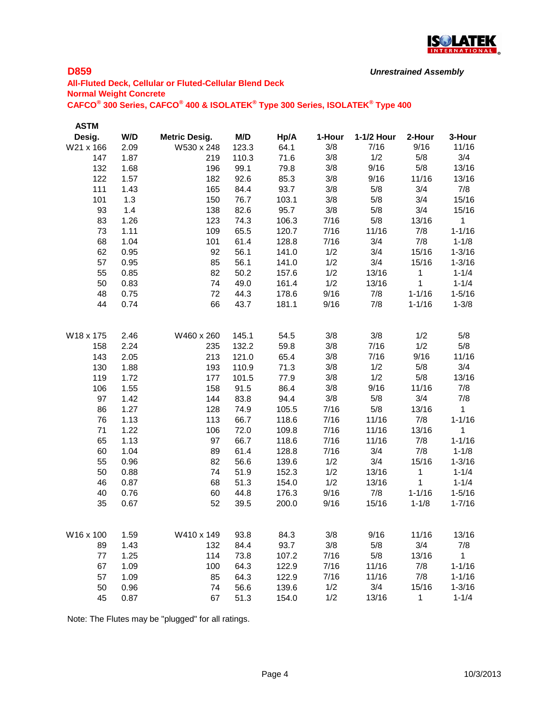

```
Unrestrained Assembly
```
# **All-Fluted Deck, Cellular or Fluted-Cellular Blend Deck Normal Weight Concrete CAFCO® 300 Series, CAFCO® 400 & ISOLATEK® Type 300 Series, ISOLATEK® Type 400**

| <b>ASTM</b> |      |                      |       |       |        |            |            |                    |
|-------------|------|----------------------|-------|-------|--------|------------|------------|--------------------|
| Desig.      | W/D  | <b>Metric Desig.</b> | M/D   | Hp/A  | 1-Hour | 1-1/2 Hour | 2-Hour     | 3-Hour             |
| W21 x 166   | 2.09 | W530 x 248           | 123.3 | 64.1  | 3/8    | 7/16       | 9/16       | 11/16              |
| 147         | 1.87 | 219                  | 110.3 | 71.6  | 3/8    | 1/2        | 5/8        | 3/4                |
| 132         | 1.68 | 196                  | 99.1  | 79.8  | 3/8    | 9/16       | 5/8        | 13/16              |
| 122         | 1.57 | 182                  | 92.6  | 85.3  | 3/8    | 9/16       | 11/16      | 13/16              |
| 111         | 1.43 | 165                  | 84.4  | 93.7  | 3/8    | 5/8        | 3/4        | 7/8                |
| 101         | 1.3  | 150                  | 76.7  | 103.1 | 3/8    | 5/8        | 3/4        | 15/16              |
| 93          | 1.4  | 138                  | 82.6  | 95.7  | 3/8    | 5/8        | 3/4        | 15/16              |
| 83          | 1.26 | 123                  | 74.3  | 106.3 | 7/16   | 5/8        | 13/16      | 1                  |
| 73          | 1.11 | 109                  | 65.5  | 120.7 | 7/16   | 11/16      | 7/8        | $1 - 1/16$         |
| 68          | 1.04 | 101                  | 61.4  | 128.8 | 7/16   | 3/4        | 7/8        | $1 - 1/8$          |
| 62          | 0.95 | 92                   | 56.1  | 141.0 | 1/2    | 3/4        | 15/16      | $1 - 3/16$         |
| 57          | 0.95 | 85                   | 56.1  | 141.0 | 1/2    | 3/4        | 15/16      | $1 - 3/16$         |
| 55          | 0.85 | 82                   | 50.2  | 157.6 | 1/2    | 13/16      | 1          | $1 - 1/4$          |
| 50          | 0.83 | 74                   | 49.0  | 161.4 | 1/2    | 13/16      | 1          | $1 - 1/4$          |
| 48          | 0.75 | 72                   | 44.3  | 178.6 | 9/16   | 7/8        | $1 - 1/16$ | $1 - 5/16$         |
| 44          | 0.74 | 66                   | 43.7  | 181.1 | 9/16   | 7/8        | $1 - 1/16$ | $1 - 3/8$          |
| W18 x 175   | 2.46 | W460 x 260           | 145.1 | 54.5  | 3/8    | 3/8        | 1/2        | 5/8                |
| 158         | 2.24 | 235                  | 132.2 | 59.8  | 3/8    | 7/16       | 1/2        | 5/8                |
| 143         | 2.05 | 213                  | 121.0 | 65.4  | 3/8    | 7/16       | 9/16       | 11/16              |
| 130         | 1.88 | 193                  | 110.9 | 71.3  | 3/8    | 1/2        | 5/8        | 3/4                |
| 119         | 1.72 | 177                  | 101.5 | 77.9  | 3/8    | 1/2        | 5/8        | 13/16              |
| 106         | 1.55 | 158                  | 91.5  | 86.4  | 3/8    | 9/16       | 11/16      | 7/8                |
| 97          | 1.42 | 144                  | 83.8  | 94.4  | 3/8    | 5/8        | 3/4        | 7/8                |
| 86          | 1.27 | 128                  | 74.9  | 105.5 | 7/16   | 5/8        | 13/16      | 1                  |
| 76          | 1.13 | 113                  | 66.7  | 118.6 | 7/16   | 11/16      | 7/8        | $1 - 1/16$         |
| 71          | 1.22 | 106                  | 72.0  | 109.8 | 7/16   | 11/16      | 13/16      | 1                  |
| 65          | 1.13 | 97                   | 66.7  | 118.6 | 7/16   | 11/16      | 7/8        | $1 - 1/16$         |
| 60          | 1.04 | 89                   | 61.4  | 128.8 | 7/16   | 3/4        | 7/8        | $1 - 1/8$          |
| 55          | 0.96 | 82                   | 56.6  | 139.6 | 1/2    | 3/4        | 15/16      | $1 - 3/16$         |
| 50          | 0.88 | 74                   | 51.9  | 152.3 | 1/2    | 13/16      | 1          | $1 - 1/4$          |
| 46          | 0.87 | 68                   | 51.3  | 154.0 | 1/2    | 13/16      | 1          | $1 - 1/4$          |
| 40          | 0.76 | 60                   | 44.8  | 176.3 | 9/16   | 7/8        | $1 - 1/16$ | $1 - 5/16$         |
| 35          | 0.67 | 52                   | 39.5  | 200.0 | 9/16   | 15/16      | $1 - 1/8$  | $1 - 7/16$         |
| W16 x 100   | 1.59 | W410 x 149           | 93.8  |       | 3/8    | 9/16       | 11/16      | 13/16              |
|             | 1.43 |                      |       | 84.3  | 3/8    | 5/8        | 3/4        |                    |
| 89          |      | 132                  | 84.4  | 93.7  |        | 5/8        |            | 7/8<br>$\mathbf 1$ |
| 77          | 1.25 | 114                  | 73.8  | 107.2 | 7/16   |            | 13/16      |                    |
| 67          | 1.09 | 100                  | 64.3  | 122.9 | 7/16   | 11/16      | 7/8        | $1 - 1/16$         |
| 57          | 1.09 | 85                   | 64.3  | 122.9 | 7/16   | 11/16      | 7/8        | $1 - 1/16$         |
| 50          | 0.96 | 74                   | 56.6  | 139.6 | 1/2    | 3/4        | 15/16      | $1 - 3/16$         |
| 45          | 0.87 | 67                   | 51.3  | 154.0 | 1/2    | 13/16      | 1          | $1 - 1/4$          |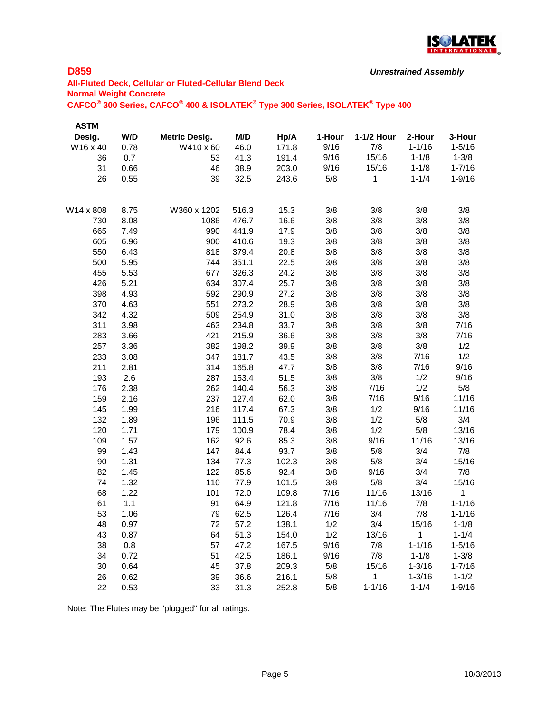

```
Unrestrained Assembly
```
# **All-Fluted Deck, Cellular or Fluted-Cellular Blend Deck Normal Weight Concrete CAFCO® 300 Series, CAFCO® 400 & ISOLATEK® Type 300 Series, ISOLATEK® Type 400**

| ASTM      |      |                      |       |       |        |            |            |            |
|-----------|------|----------------------|-------|-------|--------|------------|------------|------------|
| Desig.    | W/D  | <b>Metric Desig.</b> | M/D   | Hp/A  | 1-Hour | 1-1/2 Hour | 2-Hour     | 3-Hour     |
| W16 x 40  | 0.78 | W410 x 60            | 46.0  | 171.8 | 9/16   | 7/8        | $1 - 1/16$ | $1 - 5/16$ |
| 36        | 0.7  | 53                   | 41.3  | 191.4 | 9/16   | 15/16      | $1 - 1/8$  | $1 - 3/8$  |
| 31        | 0.66 | 46                   | 38.9  | 203.0 | 9/16   | 15/16      | $1 - 1/8$  | $1 - 7/16$ |
| 26        | 0.55 | 39                   | 32.5  | 243.6 | 5/8    | 1          | $1 - 1/4$  | $1 - 9/16$ |
| W14 x 808 | 8.75 | W360 x 1202          | 516.3 | 15.3  | 3/8    | 3/8        | 3/8        | 3/8        |
| 730       | 8.08 | 1086                 | 476.7 | 16.6  | 3/8    | 3/8        | 3/8        | 3/8        |
| 665       | 7.49 | 990                  | 441.9 | 17.9  | 3/8    | 3/8        | 3/8        | 3/8        |
| 605       | 6.96 | 900                  | 410.6 | 19.3  | 3/8    | 3/8        | 3/8        | 3/8        |
| 550       | 6.43 | 818                  | 379.4 | 20.8  | 3/8    | 3/8        | 3/8        | 3/8        |
| 500       | 5.95 | 744                  | 351.1 | 22.5  | 3/8    | 3/8        | 3/8        | 3/8        |
| 455       | 5.53 | 677                  | 326.3 | 24.2  | 3/8    | 3/8        | 3/8        | 3/8        |
| 426       | 5.21 | 634                  | 307.4 | 25.7  | 3/8    | 3/8        | 3/8        | 3/8        |
| 398       | 4.93 | 592                  | 290.9 | 27.2  | 3/8    | 3/8        | 3/8        | 3/8        |
| 370       | 4.63 | 551                  | 273.2 | 28.9  | 3/8    | 3/8        | 3/8        | 3/8        |
| 342       | 4.32 | 509                  | 254.9 | 31.0  | 3/8    | 3/8        | 3/8        | 3/8        |
| 311       | 3.98 | 463                  | 234.8 | 33.7  | 3/8    | 3/8        | 3/8        | 7/16       |
| 283       | 3.66 | 421                  | 215.9 | 36.6  | 3/8    | 3/8        | 3/8        | 7/16       |
| 257       | 3.36 | 382                  | 198.2 | 39.9  | 3/8    | 3/8        | 3/8        | 1/2        |
| 233       | 3.08 | 347                  | 181.7 | 43.5  | 3/8    | 3/8        | 7/16       | 1/2        |
| 211       | 2.81 | 314                  | 165.8 | 47.7  | 3/8    | 3/8        | 7/16       | 9/16       |
| 193       | 2.6  | 287                  | 153.4 | 51.5  | 3/8    | 3/8        | 1/2        | 9/16       |
| 176       | 2.38 | 262                  | 140.4 | 56.3  | 3/8    | 7/16       | 1/2        | 5/8        |
| 159       | 2.16 | 237                  | 127.4 | 62.0  | 3/8    | 7/16       | 9/16       | 11/16      |
| 145       | 1.99 | 216                  | 117.4 | 67.3  | 3/8    | 1/2        | 9/16       | 11/16      |
| 132       | 1.89 | 196                  | 111.5 | 70.9  | 3/8    | 1/2        | 5/8        | 3/4        |
| 120       | 1.71 | 179                  | 100.9 | 78.4  | 3/8    | 1/2        | 5/8        | 13/16      |
| 109       | 1.57 | 162                  | 92.6  | 85.3  | 3/8    | 9/16       | 11/16      | 13/16      |
| 99        | 1.43 | 147                  | 84.4  | 93.7  | 3/8    | 5/8        | 3/4        | 7/8        |
| 90        | 1.31 | 134                  | 77.3  | 102.3 | 3/8    | 5/8        | 3/4        | 15/16      |
| 82        | 1.45 | 122                  | 85.6  | 92.4  | 3/8    | 9/16       | 3/4        | 7/8        |
| 74        | 1.32 | 110                  | 77.9  | 101.5 | 3/8    | 5/8        | 3/4        | 15/16      |
| 68        | 1.22 | 101                  | 72.0  | 109.8 | 7/16   | 11/16      | 13/16      | 1          |
| 61        | 1.1  | 91                   | 64.9  | 121.8 | 7/16   | 11/16      | 7/8        | $1 - 1/16$ |
| 53        | 1.06 | 79                   | 62.5  | 126.4 | 7/16   | 3/4        | 7/8        | $1 - 1/16$ |
| 48        | 0.97 | 72                   | 57.2  | 138.1 | 1/2    | 3/4        | 15/16      | $1 - 1/8$  |
| 43        | 0.87 | 64                   | 51.3  | 154.0 | 1/2    | 13/16      | 1          | $1 - 1/4$  |
| 38        | 0.8  | 57                   | 47.2  | 167.5 | 9/16   | 7/8        | $1 - 1/16$ | $1 - 5/16$ |
| 34        | 0.72 | 51                   | 42.5  | 186.1 | 9/16   | 7/8        | $1 - 1/8$  | $1 - 3/8$  |
| 30        | 0.64 | 45                   | 37.8  | 209.3 | 5/8    | 15/16      | $1 - 3/16$ | $1 - 7/16$ |
| 26        | 0.62 | 39                   | 36.6  | 216.1 | 5/8    | 1          | $1 - 3/16$ | $1 - 1/2$  |
| 22        | 0.53 | 33                   | 31.3  | 252.8 | 5/8    | $1 - 1/16$ | $1 - 1/4$  | $1 - 9/16$ |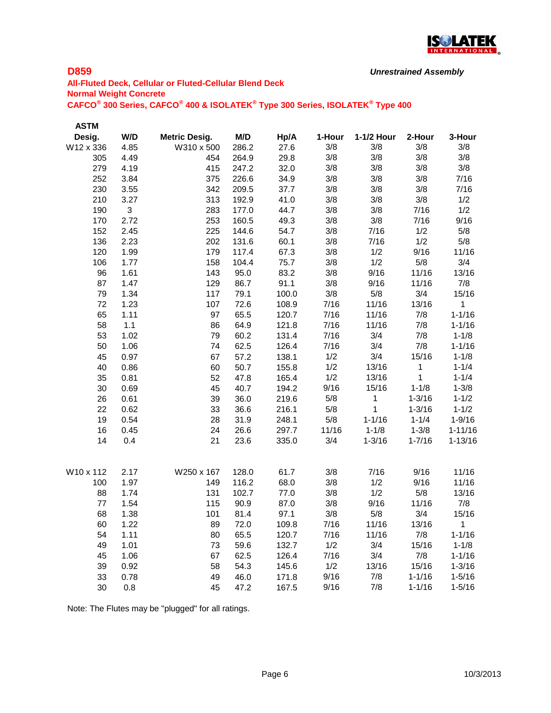

```
Unrestrained Assembly
```
# **All-Fluted Deck, Cellular or Fluted-Cellular Blend Deck Normal Weight Concrete CAFCO® 300 Series, CAFCO® 400 & ISOLATEK® Type 300 Series, ISOLATEK® Type 400**

| <b>ASTM</b> |              |                      |       |       |        |            |             |             |
|-------------|--------------|----------------------|-------|-------|--------|------------|-------------|-------------|
| Desig.      | W/D          | <b>Metric Desig.</b> | M/D   | Hp/A  | 1-Hour | 1-1/2 Hour | 2-Hour      | 3-Hour      |
| W12 x 336   | 4.85         | W310 x 500           | 286.2 | 27.6  | 3/8    | 3/8        | 3/8         | 3/8         |
| 305         | 4.49         | 454                  | 264.9 | 29.8  | 3/8    | 3/8        | 3/8         | 3/8         |
| 279         | 4.19         | 415                  | 247.2 | 32.0  | 3/8    | 3/8        | 3/8         | 3/8         |
| 252         | 3.84         | 375                  | 226.6 | 34.9  | 3/8    | 3/8        | 3/8         | 7/16        |
| 230         | 3.55         | 342                  | 209.5 | 37.7  | 3/8    | 3/8        | 3/8         | 7/16        |
| 210         | 3.27         | 313                  | 192.9 | 41.0  | 3/8    | 3/8        | 3/8         | 1/2         |
| 190         | $\mathbf{3}$ | 283                  | 177.0 | 44.7  | 3/8    | 3/8        | 7/16        | 1/2         |
| 170         | 2.72         | 253                  | 160.5 | 49.3  | 3/8    | 3/8        | 7/16        | 9/16        |
| 152         | 2.45         | 225                  | 144.6 | 54.7  | 3/8    | 7/16       | 1/2         | 5/8         |
| 136         | 2.23         | 202                  | 131.6 | 60.1  | 3/8    | 7/16       | 1/2         | 5/8         |
| 120         | 1.99         | 179                  | 117.4 | 67.3  | 3/8    | 1/2        | 9/16        | 11/16       |
| 106         | 1.77         | 158                  | 104.4 | 75.7  | 3/8    | 1/2        | 5/8         | 3/4         |
| 96          | 1.61         | 143                  | 95.0  | 83.2  | 3/8    | 9/16       | 11/16       | 13/16       |
| 87          | 1.47         | 129                  | 86.7  | 91.1  | 3/8    | 9/16       | 11/16       | 7/8         |
| 79          | 1.34         | 117                  | 79.1  | 100.0 | 3/8    | 5/8        | 3/4         | 15/16       |
| 72          | 1.23         | 107                  | 72.6  | 108.9 | 7/16   | 11/16      | 13/16       | 1           |
| 65          | 1.11         | 97                   | 65.5  | 120.7 | 7/16   | 11/16      | 7/8         | $1 - 1/16$  |
| 58          | 1.1          | 86                   | 64.9  | 121.8 | 7/16   | 11/16      | 7/8         | $1 - 1/16$  |
| 53          | 1.02         | 79                   | 60.2  | 131.4 | 7/16   | 3/4        | 7/8         | $1 - 1/8$   |
| 50          | 1.06         | 74                   | 62.5  | 126.4 | 7/16   | 3/4        | 7/8         | $1 - 1/16$  |
| 45          | 0.97         | 67                   | 57.2  | 138.1 | 1/2    | 3/4        | 15/16       | $1 - 1/8$   |
| 40          | 0.86         | 60                   | 50.7  | 155.8 | 1/2    | 13/16      | $\mathbf 1$ | $1 - 1/4$   |
| 35          | 0.81         | 52                   | 47.8  | 165.4 | 1/2    | 13/16      | 1           | $1 - 1/4$   |
| 30          | 0.69         | 45                   | 40.7  | 194.2 | 9/16   | 15/16      | $1 - 1/8$   | $1 - 3/8$   |
| 26          | 0.61         | 39                   | 36.0  | 219.6 | 5/8    | 1          | $1 - 3/16$  | $1 - 1/2$   |
| 22          | 0.62         | 33                   | 36.6  | 216.1 | 5/8    | 1          | $1 - 3/16$  | $1 - 1/2$   |
| 19          | 0.54         | 28                   | 31.9  | 248.1 | 5/8    | $1 - 1/16$ | $1 - 1/4$   | $1 - 9/16$  |
| 16          | 0.45         | 24                   | 26.6  | 297.7 | 11/16  | $1 - 1/8$  | $1 - 3/8$   | $1 - 11/16$ |
| 14          | 0.4          | 21                   | 23.6  | 335.0 | 3/4    | $1 - 3/16$ | $1 - 7/16$  | $1 - 13/16$ |
| W10 x 112   | 2.17         | W250 x 167           | 128.0 | 61.7  | 3/8    | 7/16       | 9/16        | 11/16       |
| 100         | 1.97         | 149                  | 116.2 | 68.0  | 3/8    | 1/2        | 9/16        | 11/16       |
| 88          | 1.74         | 131                  | 102.7 | 77.0  | 3/8    | 1/2        | 5/8         | 13/16       |
| 77          | 1.54         | 115                  | 90.9  | 87.0  | 3/8    | 9/16       | 11/16       | 7/8         |
| 68          | 1.38         | 101                  | 81.4  | 97.1  | 3/8    | 5/8        | 3/4         | 15/16       |
| 60          | 1.22         | 89                   | 72.0  | 109.8 | 7/16   | 11/16      | 13/16       | $\mathbf 1$ |
| 54          | 1.11         | 80                   | 65.5  | 120.7 | 7/16   | 11/16      | 7/8         | $1 - 1/16$  |
| 49          | 1.01         | 73                   | 59.6  | 132.7 | 1/2    | 3/4        | 15/16       | $1 - 1/8$   |
| 45          | 1.06         | 67                   | 62.5  | 126.4 | 7/16   | 3/4        | 7/8         | $1 - 1/16$  |
| 39          | 0.92         | 58                   | 54.3  | 145.6 | 1/2    | 13/16      | 15/16       | $1 - 3/16$  |
| 33          | 0.78         | 49                   | 46.0  | 171.8 | 9/16   | 7/8        | $1 - 1/16$  | $1 - 5/16$  |
| 30          | 0.8          | 45                   | 47.2  | 167.5 | 9/16   | 7/8        | $1 - 1/16$  | $1 - 5/16$  |